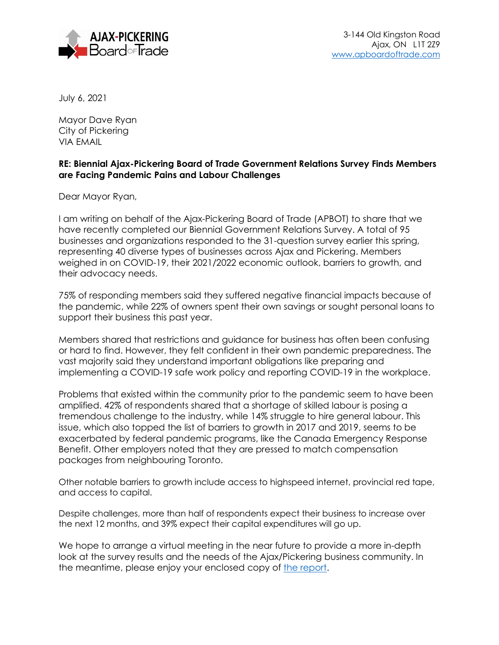

July 6, 2021

Mayor Dave Ryan City of Pickering VIA EMAIL

## **RE: Biennial Ajax-Pickering Board of Trade Government Relations Survey Finds Members are Facing Pandemic Pains and Labour Challenges**

Dear Mayor Ryan,

I am writing on behalf of the Ajax-Pickering Board of Trade (APBOT) to share that we have recently completed our Biennial Government Relations Survey. A total of 95 businesses and organizations responded to the 31-question survey earlier this spring, representing 40 diverse types of businesses across Ajax and Pickering. Members weighed in on COVID-19, their 2021/2022 economic outlook, barriers to growth, and their advocacy needs.

75% of responding members said they suffered negative financial impacts because of the pandemic, while 22% of owners spent their own savings or sought personal loans to support their business this past year.

Members shared that restrictions and guidance for business has often been confusing or hard to find. However, they felt confident in their own pandemic preparedness. The vast majority said they understand important obligations like preparing and implementing a COVID-19 safe work policy and reporting COVID-19 in the workplace.

Problems that existed within the community prior to the pandemic seem to have been amplified. 42% of respondents shared that a shortage of skilled labour is posing a tremendous challenge to the industry, while 14% struggle to hire general labour. This issue, which also topped the list of barriers to growth in 2017 and 2019, seems to be exacerbated by federal pandemic programs, like the Canada Emergency Response Benefit. Other employers noted that they are pressed to match compensation packages from neighbouring Toronto.

Other notable barriers to growth include access to highspeed internet, provincial red tape, and access to capital.

Despite challenges, more than half of respondents expect their business to increase over the next 12 months, and 39% expect their capital expenditures will go up.

We hope to arrange a virtual meeting in the near future to provide a more in-depth look at the survey results and the needs of the Ajax/Pickering business community. In the meantime, please enjoy your enclosed copy of [the report.](https://apboardoftrade.com/wp-content/uploads/2021-GR-Survey-FINAL.pdf)